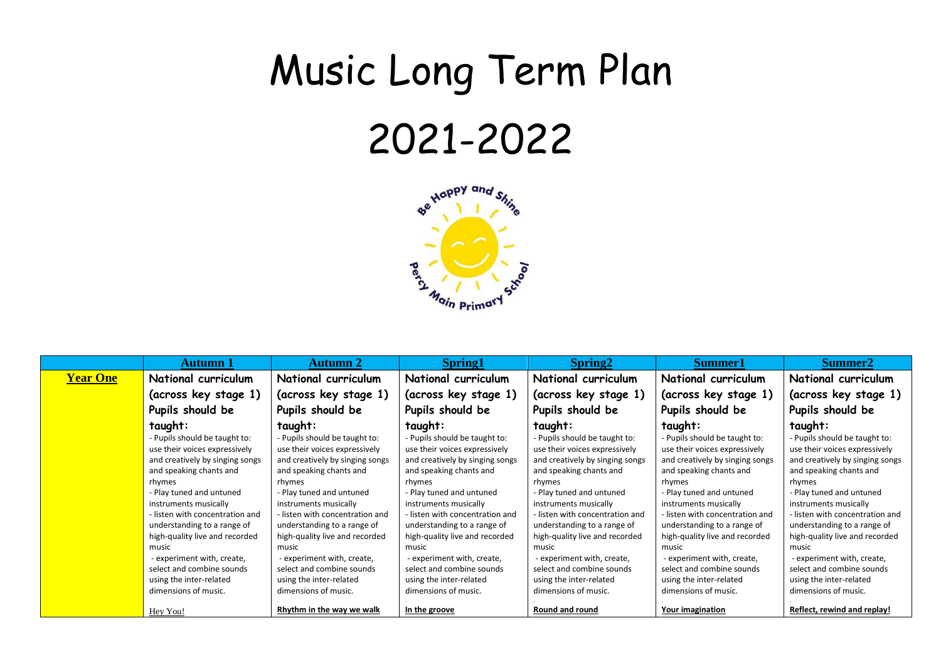## Music Long Term Plan 2021-2022



|                 | <b>Autumn</b> 1                 | <b>Autumn 2</b>                 | <b>Spring1</b>                  | Spring <sub>2</sub>             | <b>Summer1</b>                  | Summer <sub>2</sub>             |
|-----------------|---------------------------------|---------------------------------|---------------------------------|---------------------------------|---------------------------------|---------------------------------|
| <b>Year One</b> | National curriculum             | National curriculum             | National curriculum             | National curriculum             | National curriculum             | National curriculum             |
|                 | (across key stage 1)            | (across key stage 1)            | (across key stage 1)            | (across key stage 1)            | (across key stage 1)            | (across key stage 1)            |
|                 | Pupils should be                | Pupils should be                | Pupils should be                | Pupils should be                | Pupils should be                | Pupils should be                |
|                 | taught:                         | taught:                         | taught:                         | taught:                         | taught:                         | taught:                         |
|                 | - Pupils should be taught to:   | - Pupils should be taught to:   | - Pupils should be taught to:   | - Pupils should be taught to:   | - Pupils should be taught to:   | - Pupils should be taught to:   |
|                 | use their voices expressively   | use their voices expressively   | use their voices expressively   | use their voices expressively   | use their voices expressively   | use their voices expressively   |
|                 | and creatively by singing songs | and creatively by singing songs | and creatively by singing songs | and creatively by singing songs | and creatively by singing songs | and creatively by singing songs |
|                 | and speaking chants and         | and speaking chants and         | and speaking chants and         | and speaking chants and         | and speaking chants and         | and speaking chants and         |
|                 | rhymes                          | rhymes                          | rhymes                          | rhymes                          | rhymes                          | rhymes                          |
|                 | - Play tuned and untuned        | - Play tuned and untuned        | - Play tuned and untuned        | - Play tuned and untuned        | - Play tuned and untuned        | - Play tuned and untuned        |
|                 | instruments musically           | instruments musically           | instruments musically           | instruments musically           | instruments musically           | instruments musically           |
|                 | - listen with concentration and | - listen with concentration and | - listen with concentration and | - listen with concentration and | - listen with concentration and | - listen with concentration and |
|                 | understanding to a range of     | understanding to a range of     | understanding to a range of     | understanding to a range of     | understanding to a range of     | understanding to a range of     |
|                 | high-quality live and recorded  | high-quality live and recorded  | high-quality live and recorded  | high-quality live and recorded  | high-quality live and recorded  | high-quality live and recorded  |
|                 | music                           | music                           | music                           | music                           | music                           | music                           |
|                 | - experiment with, create,      | - experiment with, create,      | - experiment with, create,      | - experiment with, create,      | - experiment with, create,      | - experiment with, create,      |
|                 | select and combine sounds       | select and combine sounds       | select and combine sounds       | select and combine sounds       | select and combine sounds       | select and combine sounds       |
|                 | using the inter-related         | using the inter-related         | using the inter-related         | using the inter-related         | using the inter-related         | using the inter-related         |
|                 | dimensions of music.            | dimensions of music.            | dimensions of music.            | dimensions of music.            | dimensions of music.            | dimensions of music.            |
|                 | Hey You!                        | Rhythm in the way we walk       | In the groove                   | Round and round                 | Your imagination                | Reflect, rewind and replay!     |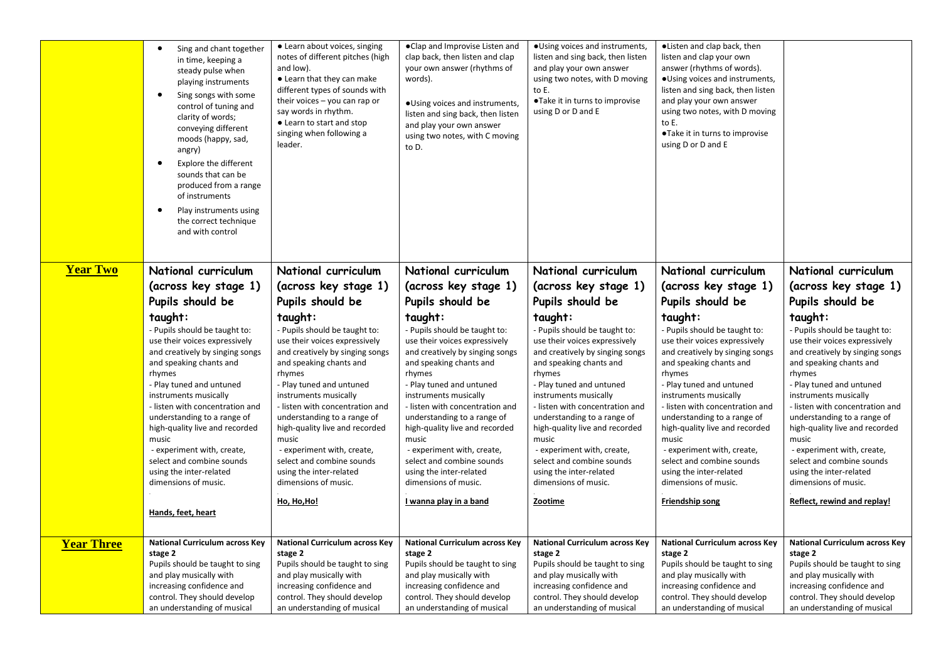|                   | Sing and chant together<br>$\bullet$<br>in time, keeping a<br>steady pulse when<br>playing instruments<br>Sing songs with some<br>$\bullet$<br>control of tuning and<br>clarity of words;<br>conveying different<br>moods (happy, sad,<br>angry)<br>Explore the different<br>$\bullet$<br>sounds that can be<br>produced from a range<br>of instruments<br>Play instruments using<br>٠<br>the correct technique<br>and with control          | • Learn about voices, singing<br>notes of different pitches (high<br>and low).<br>• Learn that they can make<br>different types of sounds with<br>their voices - you can rap or<br>say words in rhythm.<br>• Learn to start and stop<br>singing when following a<br>leader.                                                                                                                                                           | . Clap and Improvise Listen and<br>clap back, then listen and clap<br>your own answer (rhythms of<br>words).<br>·Using voices and instruments,<br>listen and sing back, then listen<br>and play your own answer<br>using two notes, with C moving<br>to D.                                                                                                                                                                                       | · Using voices and instruments,<br>listen and sing back, then listen<br>and play your own answer<br>using two notes, with D moving<br>to E.<br>•Take it in turns to improvise<br>using D or D and E                                                                                                                                                                                                                               | •Listen and clap back, then<br>listen and clap your own<br>answer (rhythms of words).<br>. Using voices and instruments,<br>listen and sing back, then listen<br>and play your own answer<br>using two notes, with D moving<br>to E.<br>•Take it in turns to improvise<br>using D or D and E                                                                                                                                                     |                                                                                                                                                                                                                                                                                                                                                                                                                                                            |
|-------------------|----------------------------------------------------------------------------------------------------------------------------------------------------------------------------------------------------------------------------------------------------------------------------------------------------------------------------------------------------------------------------------------------------------------------------------------------|---------------------------------------------------------------------------------------------------------------------------------------------------------------------------------------------------------------------------------------------------------------------------------------------------------------------------------------------------------------------------------------------------------------------------------------|--------------------------------------------------------------------------------------------------------------------------------------------------------------------------------------------------------------------------------------------------------------------------------------------------------------------------------------------------------------------------------------------------------------------------------------------------|-----------------------------------------------------------------------------------------------------------------------------------------------------------------------------------------------------------------------------------------------------------------------------------------------------------------------------------------------------------------------------------------------------------------------------------|--------------------------------------------------------------------------------------------------------------------------------------------------------------------------------------------------------------------------------------------------------------------------------------------------------------------------------------------------------------------------------------------------------------------------------------------------|------------------------------------------------------------------------------------------------------------------------------------------------------------------------------------------------------------------------------------------------------------------------------------------------------------------------------------------------------------------------------------------------------------------------------------------------------------|
| <b>Year Two</b>   | National curriculum                                                                                                                                                                                                                                                                                                                                                                                                                          | National curriculum                                                                                                                                                                                                                                                                                                                                                                                                                   | National curriculum                                                                                                                                                                                                                                                                                                                                                                                                                              | National curriculum                                                                                                                                                                                                                                                                                                                                                                                                               | National curriculum                                                                                                                                                                                                                                                                                                                                                                                                                              | National curriculum                                                                                                                                                                                                                                                                                                                                                                                                                                        |
|                   | (across key stage 1)<br>Pupils should be                                                                                                                                                                                                                                                                                                                                                                                                     | (across key stage 1)<br>Pupils should be                                                                                                                                                                                                                                                                                                                                                                                              | (across key stage 1)<br>Pupils should be                                                                                                                                                                                                                                                                                                                                                                                                         | (across key stage 1)<br>Pupils should be                                                                                                                                                                                                                                                                                                                                                                                          | (across key stage 1)<br>Pupils should be                                                                                                                                                                                                                                                                                                                                                                                                         | (across key stage 1)<br>Pupils should be                                                                                                                                                                                                                                                                                                                                                                                                                   |
|                   | taught:                                                                                                                                                                                                                                                                                                                                                                                                                                      | taught:                                                                                                                                                                                                                                                                                                                                                                                                                               | taught:                                                                                                                                                                                                                                                                                                                                                                                                                                          | taught:                                                                                                                                                                                                                                                                                                                                                                                                                           | taught:                                                                                                                                                                                                                                                                                                                                                                                                                                          | taught:                                                                                                                                                                                                                                                                                                                                                                                                                                                    |
|                   | - Pupils should be taught to:<br>use their voices expressively<br>and creatively by singing songs<br>and speaking chants and<br>rhymes<br>- Play tuned and untuned<br>instruments musically<br>- listen with concentration and<br>understanding to a range of<br>high-quality live and recorded<br>music<br>- experiment with, create,<br>select and combine sounds<br>using the inter-related<br>dimensions of music.<br>Hands, feet, heart | - Pupils should be taught to:<br>use their voices expressively<br>and creatively by singing songs<br>and speaking chants and<br>rhymes<br>- Play tuned and untuned<br>instruments musically<br>- listen with concentration and<br>understanding to a range of<br>high-quality live and recorded<br>music<br>- experiment with, create,<br>select and combine sounds<br>using the inter-related<br>dimensions of music.<br>Ho, Ho, Ho! | - Pupils should be taught to:<br>use their voices expressively<br>and creatively by singing songs<br>and speaking chants and<br>rhymes<br>- Play tuned and untuned<br>instruments musically<br>- listen with concentration and<br>understanding to a range of<br>high-quality live and recorded<br>music<br>- experiment with, create,<br>select and combine sounds<br>using the inter-related<br>dimensions of music.<br>I wanna play in a band | - Pupils should be taught to:<br>use their voices expressively<br>and creatively by singing songs<br>and speaking chants and<br>rhymes<br>- Play tuned and untuned<br>instruments musically<br>- listen with concentration and<br>understanding to a range of<br>high-quality live and recorded<br>music<br>- experiment with, create,<br>select and combine sounds<br>using the inter-related<br>dimensions of music.<br>Zootime | - Pupils should be taught to:<br>use their voices expressively<br>and creatively by singing songs<br>and speaking chants and<br>rhymes<br>- Play tuned and untuned<br>instruments musically<br>- listen with concentration and<br>understanding to a range of<br>high-quality live and recorded<br>music<br>- experiment with, create,<br>select and combine sounds<br>using the inter-related<br>dimensions of music.<br><b>Friendship song</b> | Pupils should be taught to:<br>use their voices expressively<br>and creatively by singing songs<br>and speaking chants and<br>rhymes<br>- Play tuned and untuned<br>instruments musically<br>- listen with concentration and<br>understanding to a range of<br>high-quality live and recorded<br>music<br>- experiment with, create,<br>select and combine sounds<br>using the inter-related<br>dimensions of music.<br><b>Reflect, rewind and replay!</b> |
| <b>Year Three</b> | <b>National Curriculum across Key</b>                                                                                                                                                                                                                                                                                                                                                                                                        | <b>National Curriculum across Key</b>                                                                                                                                                                                                                                                                                                                                                                                                 | <b>National Curriculum across Key</b>                                                                                                                                                                                                                                                                                                                                                                                                            | <b>National Curriculum across Key</b>                                                                                                                                                                                                                                                                                                                                                                                             | <b>National Curriculum across Key</b>                                                                                                                                                                                                                                                                                                                                                                                                            | <b>National Curriculum across Key</b>                                                                                                                                                                                                                                                                                                                                                                                                                      |
|                   | stage 2<br>Pupils should be taught to sing<br>and play musically with<br>increasing confidence and<br>control. They should develop<br>an understanding of musical                                                                                                                                                                                                                                                                            | stage 2<br>Pupils should be taught to sing<br>and play musically with<br>increasing confidence and<br>control. They should develop<br>an understanding of musical                                                                                                                                                                                                                                                                     | stage 2<br>Pupils should be taught to sing<br>and play musically with<br>increasing confidence and<br>control. They should develop<br>an understanding of musical                                                                                                                                                                                                                                                                                | stage 2<br>Pupils should be taught to sing<br>and play musically with<br>increasing confidence and<br>control. They should develop<br>an understanding of musical                                                                                                                                                                                                                                                                 | stage 2<br>Pupils should be taught to sing<br>and play musically with<br>increasing confidence and<br>control. They should develop<br>an understanding of musical                                                                                                                                                                                                                                                                                | stage 2<br>Pupils should be taught to sing<br>and play musically with<br>increasing confidence and<br>control. They should develop<br>an understanding of musical                                                                                                                                                                                                                                                                                          |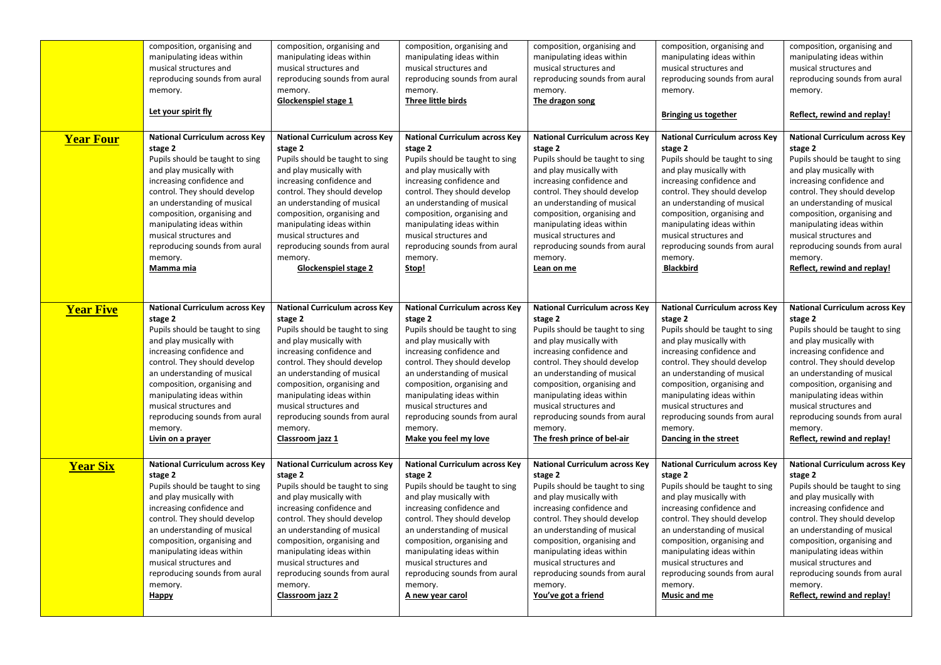|                  | composition, organising and           | composition, organising and           | composition, organising and           | composition, organising and           | composition, organising and           | composition, organising and           |
|------------------|---------------------------------------|---------------------------------------|---------------------------------------|---------------------------------------|---------------------------------------|---------------------------------------|
|                  | manipulating ideas within             | manipulating ideas within             | manipulating ideas within             | manipulating ideas within             | manipulating ideas within             | manipulating ideas within             |
|                  | musical structures and                | musical structures and                | musical structures and                | musical structures and                | musical structures and                | musical structures and                |
|                  | reproducing sounds from aural         | reproducing sounds from aural         | reproducing sounds from aural         | reproducing sounds from aural         | reproducing sounds from aural         | reproducing sounds from aural         |
|                  | memory.                               | memory.                               | memory.                               | memory.                               | memory.                               | memory.                               |
|                  | Let your spirit fly                   | Glockenspiel stage 1                  | Three little birds                    | The dragon song                       | <b>Bringing us together</b>           | Reflect, rewind and replay!           |
| <b>Year Four</b> | <b>National Curriculum across Key</b> | <b>National Curriculum across Key</b> | <b>National Curriculum across Key</b> | <b>National Curriculum across Key</b> | <b>National Curriculum across Key</b> | <b>National Curriculum across Key</b> |
|                  | stage 2                               | stage 2                               | stage 2                               | stage 2                               | stage 2                               | stage 2                               |
|                  | Pupils should be taught to sing       | Pupils should be taught to sing       | Pupils should be taught to sing       | Pupils should be taught to sing       | Pupils should be taught to sing       | Pupils should be taught to sing       |
|                  | and play musically with               | and play musically with               | and play musically with               | and play musically with               | and play musically with               | and play musically with               |
|                  | increasing confidence and             | increasing confidence and             | increasing confidence and             | increasing confidence and             | increasing confidence and             | increasing confidence and             |
|                  | control. They should develop          | control. They should develop          | control. They should develop          | control. They should develop          | control. They should develop          | control. They should develop          |
|                  | an understanding of musical           | an understanding of musical           | an understanding of musical           | an understanding of musical           | an understanding of musical           | an understanding of musical           |
|                  | composition, organising and           | composition, organising and           | composition, organising and           | composition, organising and           | composition, organising and           | composition, organising and           |
|                  | manipulating ideas within             | manipulating ideas within             | manipulating ideas within             | manipulating ideas within             | manipulating ideas within             | manipulating ideas within             |
|                  | musical structures and                | musical structures and                | musical structures and                | musical structures and                | musical structures and                | musical structures and                |
|                  | reproducing sounds from aural         | reproducing sounds from aural         | reproducing sounds from aural         | reproducing sounds from aural         | reproducing sounds from aural         | reproducing sounds from aural         |
|                  | memory.                               | memory.                               | memory.                               | memory.                               | memory.                               | memory.                               |
|                  | Mamma mia                             | Glockenspiel stage 2                  | Stop!                                 | Lean on me                            | <b>Blackbird</b>                      | Reflect, rewind and replay!           |
| <b>Year Five</b> | <b>National Curriculum across Key</b> | <b>National Curriculum across Key</b> | <b>National Curriculum across Key</b> | <b>National Curriculum across Key</b> | <b>National Curriculum across Key</b> | <b>National Curriculum across Key</b> |
|                  | stage 2                               | stage 2                               | stage 2                               | stage 2                               | stage 2                               | stage 2                               |
|                  | Pupils should be taught to sing       | Pupils should be taught to sing       | Pupils should be taught to sing       | Pupils should be taught to sing       | Pupils should be taught to sing       | Pupils should be taught to sing       |
|                  | and play musically with               | and play musically with               | and play musically with               | and play musically with               | and play musically with               | and play musically with               |
|                  | increasing confidence and             | increasing confidence and             | increasing confidence and             | increasing confidence and             | increasing confidence and             | increasing confidence and             |
|                  | control. They should develop          | control. They should develop          | control. They should develop          | control. They should develop          | control. They should develop          | control. They should develop          |
|                  | an understanding of musical           | an understanding of musical           | an understanding of musical           | an understanding of musical           | an understanding of musical           | an understanding of musical           |
|                  | composition, organising and           | composition, organising and           | composition, organising and           | composition, organising and           | composition, organising and           | composition, organising and           |
|                  | manipulating ideas within             | manipulating ideas within             | manipulating ideas within             | manipulating ideas within             | manipulating ideas within             | manipulating ideas within             |
|                  | musical structures and                | musical structures and                | musical structures and                | musical structures and                | musical structures and                | musical structures and                |
|                  | reproducing sounds from aural         | reproducing sounds from aural         | reproducing sounds from aural         | reproducing sounds from aural         | reproducing sounds from aural         | reproducing sounds from aural         |
|                  | memory.                               | memory.                               | memory.                               | memory.                               | memory.                               | memory.                               |
|                  | Livin on a prayer                     | Classroom jazz 1                      | Make you feel my love                 | The fresh prince of bel-air           | Dancing in the street                 | Reflect, rewind and replay!           |
| <b>Year Six</b>  | <b>National Curriculum across Key</b> | <b>National Curriculum across Key</b> | <b>National Curriculum across Key</b> | <b>National Curriculum across Key</b> | <b>National Curriculum across Key</b> | <b>National Curriculum across Key</b> |
|                  | stage 2                               | stage 2                               | stage 2                               | stage 2                               | stage 2                               | stage 2                               |
|                  | Pupils should be taught to sing       | Pupils should be taught to sing       | Pupils should be taught to sing       | Pupils should be taught to sing       | Pupils should be taught to sing       | Pupils should be taught to sing       |
|                  | and play musically with               | and play musically with               | and play musically with               | and play musically with               | and play musically with               | and play musically with               |
|                  | increasing confidence and             | increasing confidence and             | increasing confidence and             | increasing confidence and             | increasing confidence and             | increasing confidence and             |
|                  | control. They should develop          | control. They should develop          | control. They should develop          | control. They should develop          | control. They should develop          | control. They should develop          |
|                  | an understanding of musical           | an understanding of musical           | an understanding of musical           | an understanding of musical           | an understanding of musical           | an understanding of musical           |
|                  | composition, organising and           | composition, organising and           | composition, organising and           | composition, organising and           | composition, organising and           | composition, organising and           |
|                  | manipulating ideas within             | manipulating ideas within             | manipulating ideas within             | manipulating ideas within             | manipulating ideas within             | manipulating ideas within             |
|                  | musical structures and                | musical structures and                | musical structures and                | musical structures and                | musical structures and                | musical structures and                |
|                  | reproducing sounds from aural         | reproducing sounds from aural         | reproducing sounds from aural         | reproducing sounds from aural         | reproducing sounds from aural         | reproducing sounds from aural         |
|                  | memory.                               | memory.                               | memory.                               | memory.                               | memory.                               | memory.                               |
|                  | <b>Happy</b>                          | Classroom jazz 2                      | A new year carol                      | You've got a friend                   | Music and me                          | Reflect, rewind and replay!           |